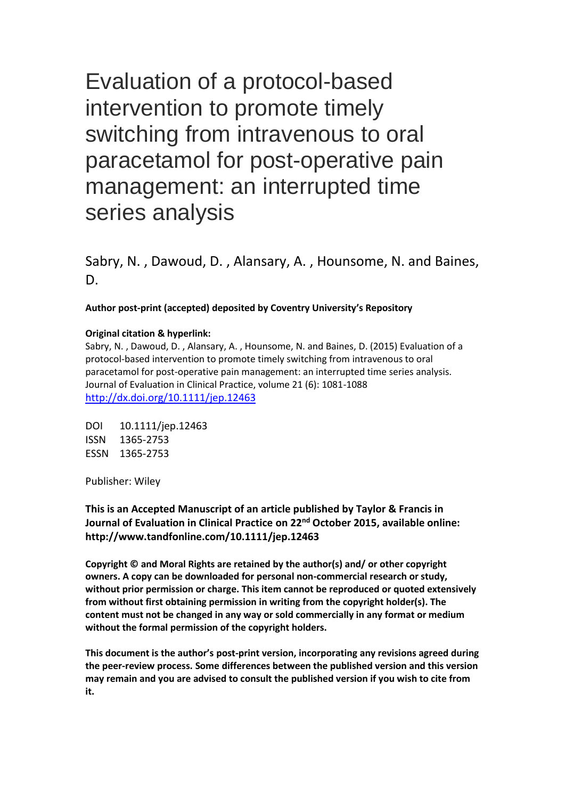Evaluation of a protocol-based intervention to promote timely switching from intravenous to oral paracetamol for post-operative pain management: an interrupted time series analysis

Sabry, N. , Dawoud, D. , Alansary, A. , Hounsome, N. and Baines, D.

**Author post-print (accepted) deposited by Coventry University's Repository**

#### **Original citation & hyperlink:**

Sabry, N. , Dawoud, D. , Alansary, A. , Hounsome, N. and Baines, D. (2015) Evaluation of a protocol-based intervention to promote timely switching from intravenous to oral paracetamol for post-operative pain management: an interrupted time series analysis. Journal of Evaluation in Clinical Practice, volume 21 (6): 1081-1088 <http://dx.doi.org/10.1111/jep.12463>

DOI 10.1111/jep.12463 ISSN 1365-2753 ESSN 1365-2753

Publisher: Wiley

**This is an Accepted Manuscript of an article published by Taylor & Francis in Journal of Evaluation in Clinical Practice on 22nd October 2015, available online: http://www.tandfonline.com/10.1111/jep.12463**

**Copyright © and Moral Rights are retained by the author(s) and/ or other copyright owners. A copy can be downloaded for personal non-commercial research or study, without prior permission or charge. This item cannot be reproduced or quoted extensively from without first obtaining permission in writing from the copyright holder(s). The content must not be changed in any way or sold commercially in any format or medium without the formal permission of the copyright holders.** 

**This document is the author's post-print version, incorporating any revisions agreed during the peer-review process. Some differences between the published version and this version may remain and you are advised to consult the published version if you wish to cite from it.**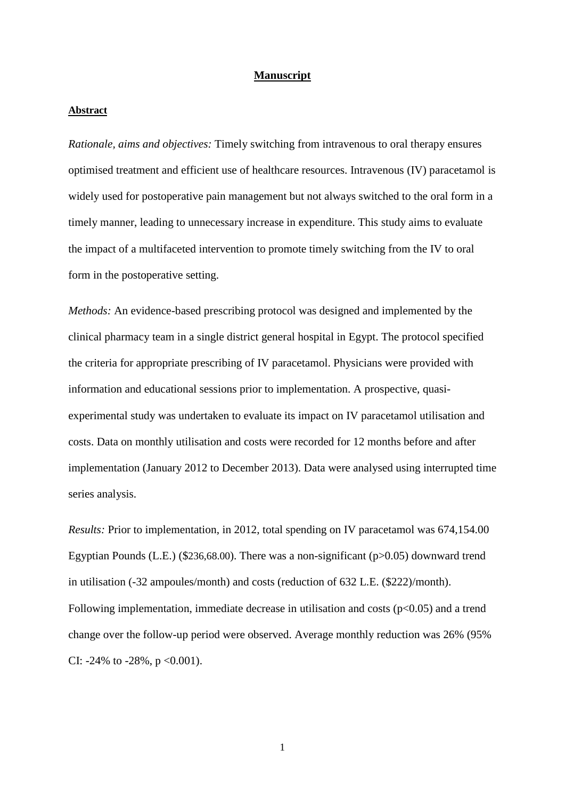#### **Manuscript**

### **Abstract**

*Rationale, aims and objectives:* Timely switching from intravenous to oral therapy ensures optimised treatment and efficient use of healthcare resources. Intravenous (IV) paracetamol is widely used for postoperative pain management but not always switched to the oral form in a timely manner, leading to unnecessary increase in expenditure. This study aims to evaluate the impact of a multifaceted intervention to promote timely switching from the IV to oral form in the postoperative setting.

*Methods:* An evidence-based prescribing protocol was designed and implemented by the clinical pharmacy team in a single district general hospital in Egypt. The protocol specified the criteria for appropriate prescribing of IV paracetamol. Physicians were provided with information and educational sessions prior to implementation. A prospective, quasiexperimental study was undertaken to evaluate its impact on IV paracetamol utilisation and costs. Data on monthly utilisation and costs were recorded for 12 months before and after implementation (January 2012 to December 2013). Data were analysed using interrupted time series analysis.

*Results:* Prior to implementation, in 2012, total spending on IV paracetamol was 674,154.00 Egyptian Pounds (L.E.) (\$236,68.00). There was a non-significant (p>0.05) downward trend in utilisation (-32 ampoules/month) and costs (reduction of 632 L.E. (\$222)/month). Following implementation, immediate decrease in utilisation and costs ( $p<0.05$ ) and a trend change over the follow-up period were observed. Average monthly reduction was 26% (95% CI: -24% to -28%,  $p < 0.001$ ).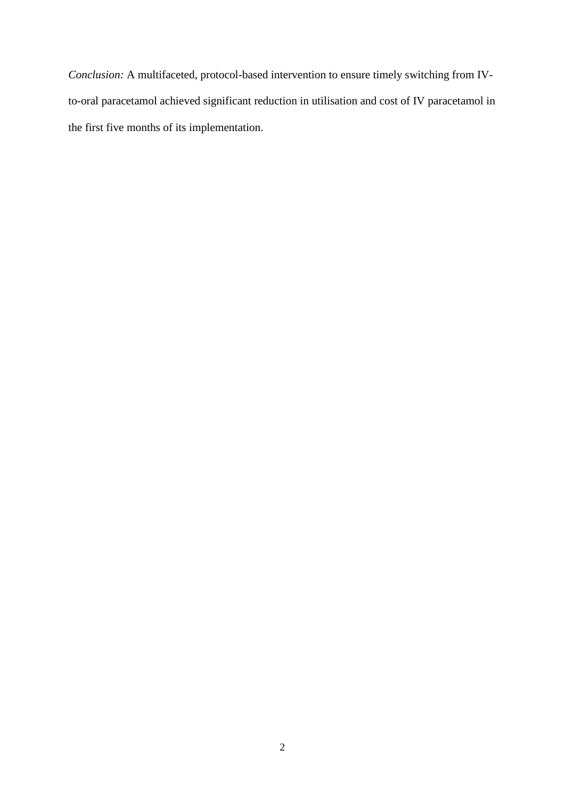*Conclusion:* A multifaceted, protocol-based intervention to ensure timely switching from IVto-oral paracetamol achieved significant reduction in utilisation and cost of IV paracetamol in the first five months of its implementation.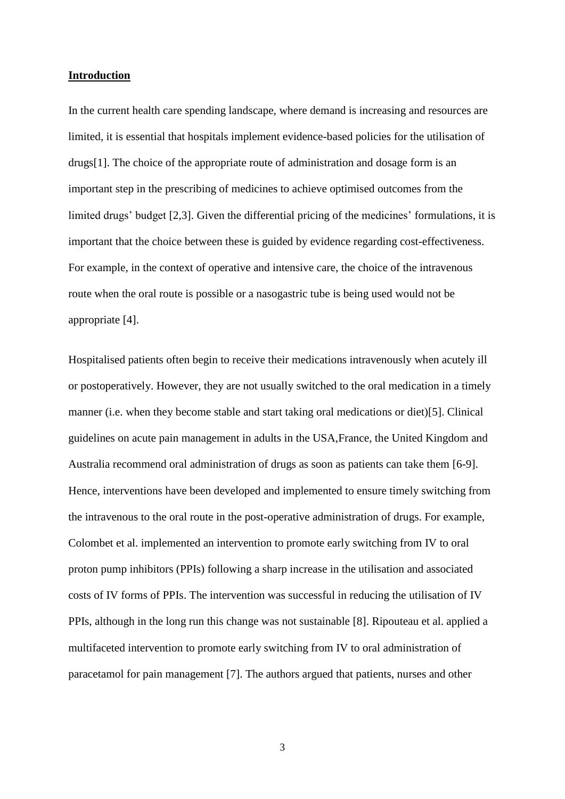#### **Introduction**

In the current health care spending landscape, where demand is increasing and resources are limited, it is essential that hospitals implement evidence-based policies for the utilisation of drugs[1]. The choice of the appropriate route of administration and dosage form is an important step in the prescribing of medicines to achieve optimised outcomes from the limited drugs' budget [2,3]. Given the differential pricing of the medicines' formulations, it is important that the choice between these is guided by evidence regarding cost-effectiveness. For example, in the context of operative and intensive care, the choice of the intravenous route when the oral route is possible or a nasogastric tube is being used would not be appropriate [4].

Hospitalised patients often begin to receive their medications intravenously when acutely ill or postoperatively. However, they are not usually switched to the oral medication in a timely manner (i.e. when they become stable and start taking oral medications or diet)[5]. Clinical guidelines on acute pain management in adults in the USA,France, the United Kingdom and Australia recommend oral administration of drugs as soon as patients can take them [6-9]. Hence, interventions have been developed and implemented to ensure timely switching from the intravenous to the oral route in the post-operative administration of drugs. For example, Colombet et al. implemented an intervention to promote early switching from IV to oral proton pump inhibitors (PPIs) following a sharp increase in the utilisation and associated costs of IV forms of PPIs. The intervention was successful in reducing the utilisation of IV PPIs, although in the long run this change was not sustainable [8]. Ripouteau et al. applied a multifaceted intervention to promote early switching from IV to oral administration of paracetamol for pain management [7]. The authors argued that patients, nurses and other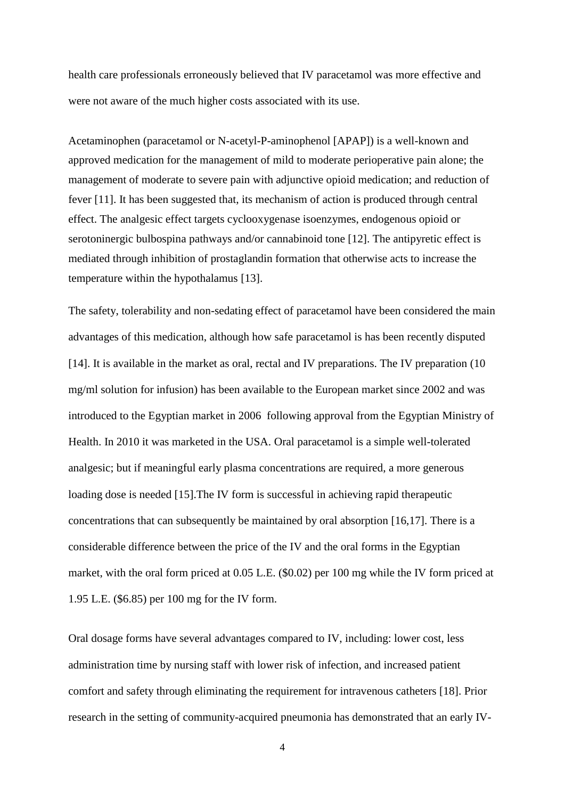health care professionals erroneously believed that IV paracetamol was more effective and were not aware of the much higher costs associated with its use.

Acetaminophen (paracetamol or N-acetyl-P-aminophenol [APAP]) is a well-known and approved medication for the management of mild to moderate perioperative pain alone; the management of moderate to severe pain with adjunctive opioid medication; and reduction of fever [11]. It has been suggested that, its mechanism of action is produced through central effect. The analgesic effect targets cyclooxygenase isoenzymes, endogenous opioid or serotoninergic bulbospina pathways and/or cannabinoid tone [12]. The antipyretic effect is mediated through inhibition of prostaglandin formation that otherwise acts to increase the temperature within the hypothalamus [13].

The safety, tolerability and non-sedating effect of paracetamol have been considered the main advantages of this medication, although how safe paracetamol is has been recently disputed [14]. It is available in the market as oral, rectal and IV preparations. The IV preparation (10) mg/ml solution for infusion) has been available to the European market since 2002 and was introduced to the Egyptian market in 2006 following approval from the Egyptian Ministry of Health. In 2010 it was marketed in the USA. Oral paracetamol is a simple well-tolerated analgesic; but if meaningful early plasma concentrations are required, a more generous loading dose is needed [15].The IV form is successful in achieving rapid therapeutic concentrations that can subsequently be maintained by oral absorption [16,17]. There is a considerable difference between the price of the IV and the oral forms in the Egyptian market, with the oral form priced at 0.05 L.E. (\$0.02) per 100 mg while the IV form priced at 1.95 L.E. (\$6.85) per 100 mg for the IV form.

Oral dosage forms have several advantages compared to IV, including: lower cost, less administration time by nursing staff with lower risk of infection, and increased patient comfort and safety through eliminating the requirement for intravenous catheters [18]. Prior research in the setting of community-acquired pneumonia has demonstrated that an early IV-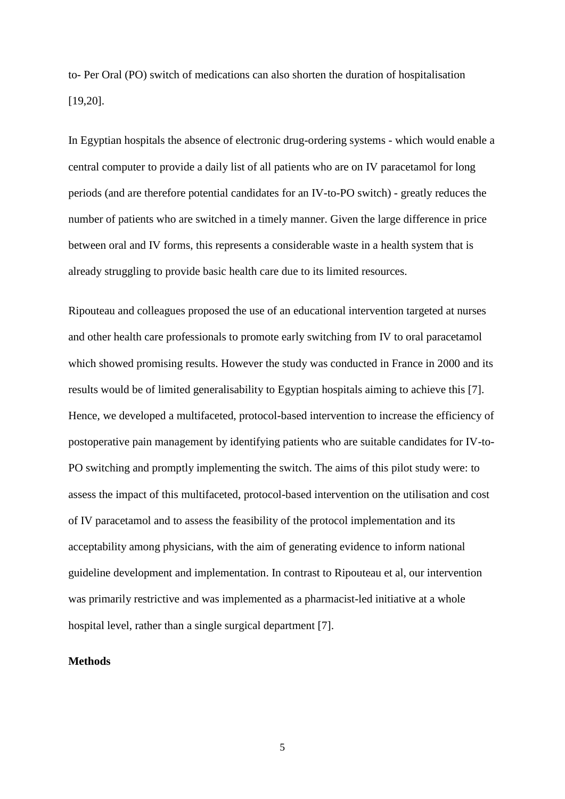to- Per Oral (PO) switch of medications can also shorten the duration of hospitalisation [19,20].

In Egyptian hospitals the absence of electronic drug-ordering systems - which would enable a central computer to provide a daily list of all patients who are on IV paracetamol for long periods (and are therefore potential candidates for an IV-to-PO switch) - greatly reduces the number of patients who are switched in a timely manner. Given the large difference in price between oral and IV forms, this represents a considerable waste in a health system that is already struggling to provide basic health care due to its limited resources.

Ripouteau and colleagues proposed the use of an educational intervention targeted at nurses and other health care professionals to promote early switching from IV to oral paracetamol which showed promising results. However the study was conducted in France in 2000 and its results would be of limited generalisability to Egyptian hospitals aiming to achieve this [7]. Hence, we developed a multifaceted, protocol-based intervention to increase the efficiency of postoperative pain management by identifying patients who are suitable candidates for IV-to-PO switching and promptly implementing the switch. The aims of this pilot study were: to assess the impact of this multifaceted, protocol-based intervention on the utilisation and cost of IV paracetamol and to assess the feasibility of the protocol implementation and its acceptability among physicians, with the aim of generating evidence to inform national guideline development and implementation. In contrast to Ripouteau et al, our intervention was primarily restrictive and was implemented as a pharmacist-led initiative at a whole hospital level, rather than a single surgical department [7].

## **Methods**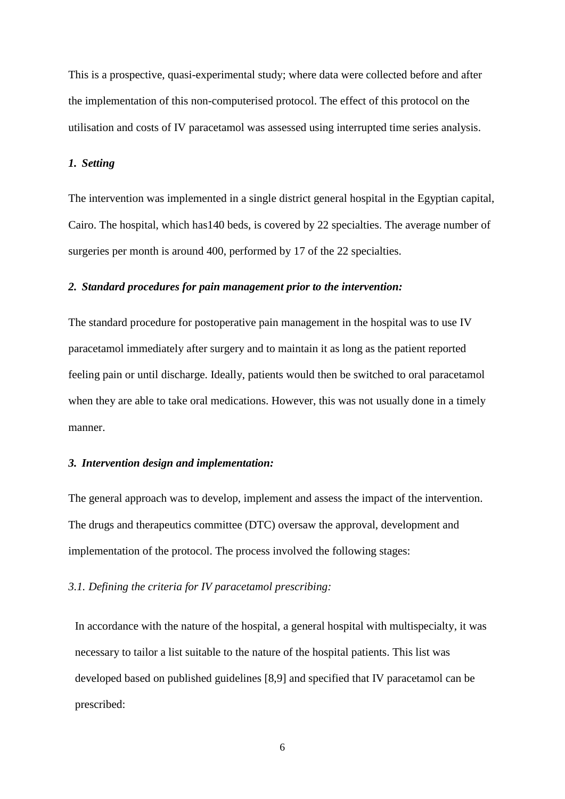This is a prospective, quasi-experimental study; where data were collected before and after the implementation of this non-computerised protocol. The effect of this protocol on the utilisation and costs of IV paracetamol was assessed using interrupted time series analysis.

#### *1. Setting*

The intervention was implemented in a single district general hospital in the Egyptian capital, Cairo. The hospital, which has140 beds, is covered by 22 specialties. The average number of surgeries per month is around 400, performed by 17 of the 22 specialties.

#### *2. Standard procedures for pain management prior to the intervention:*

The standard procedure for postoperative pain management in the hospital was to use IV paracetamol immediately after surgery and to maintain it as long as the patient reported feeling pain or until discharge. Ideally, patients would then be switched to oral paracetamol when they are able to take oral medications. However, this was not usually done in a timely manner.

#### *3. Intervention design and implementation:*

The general approach was to develop, implement and assess the impact of the intervention. The drugs and therapeutics committee (DTC) oversaw the approval, development and implementation of the protocol. The process involved the following stages:

# *3.1. Defining the criteria for IV paracetamol prescribing:*

In accordance with the nature of the hospital, a general hospital with multispecialty, it was necessary to tailor a list suitable to the nature of the hospital patients. This list was developed based on published guidelines [8,9] and specified that IV paracetamol can be prescribed: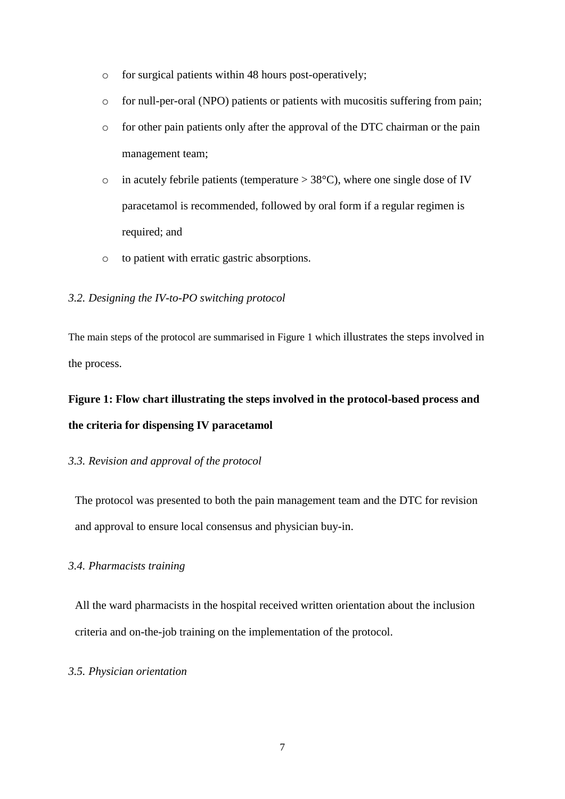- o for surgical patients within 48 hours post-operatively;
- o for null-per-oral (NPO) patients or patients with mucositis suffering from pain;
- o for other pain patients only after the approval of the DTC chairman or the pain management team;
- $\circ$  in acutely febrile patients (temperature  $> 38^{\circ}$ C), where one single dose of IV paracetamol is recommended, followed by oral form if a regular regimen is required; and
- o to patient with erratic gastric absorptions.

### *3.2. Designing the IV-to-PO switching protocol*

The main steps of the protocol are summarised in Figure 1 which illustrates the steps involved in the process.

# **Figure 1: Flow chart illustrating the steps involved in the protocol-based process and the criteria for dispensing IV paracetamol**

#### *3.3. Revision and approval of the protocol*

The protocol was presented to both the pain management team and the DTC for revision and approval to ensure local consensus and physician buy-in.

# *3.4. Pharmacists training*

All the ward pharmacists in the hospital received written orientation about the inclusion criteria and on-the-job training on the implementation of the protocol.

### *3.5. Physician orientation*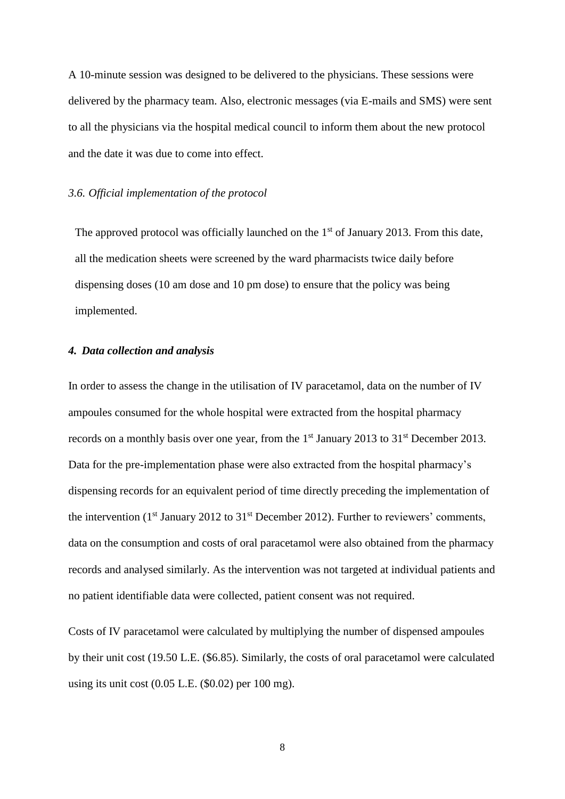A 10-minute session was designed to be delivered to the physicians. These sessions were delivered by the pharmacy team. Also, electronic messages (via E-mails and SMS) were sent to all the physicians via the hospital medical council to inform them about the new protocol and the date it was due to come into effect.

## *3.6. Official implementation of the protocol*

The approved protocol was officially launched on the  $1<sup>st</sup>$  of January 2013. From this date, all the medication sheets were screened by the ward pharmacists twice daily before dispensing doses (10 am dose and 10 pm dose) to ensure that the policy was being implemented.

### *4. Data collection and analysis*

In order to assess the change in the utilisation of IV paracetamol, data on the number of IV ampoules consumed for the whole hospital were extracted from the hospital pharmacy records on a monthly basis over one year, from the 1<sup>st</sup> January 2013 to 31<sup>st</sup> December 2013. Data for the pre-implementation phase were also extracted from the hospital pharmacy's dispensing records for an equivalent period of time directly preceding the implementation of the intervention ( $1<sup>st</sup>$  January 2012 to  $31<sup>st</sup>$  December 2012). Further to reviewers' comments, data on the consumption and costs of oral paracetamol were also obtained from the pharmacy records and analysed similarly. As the intervention was not targeted at individual patients and no patient identifiable data were collected, patient consent was not required.

Costs of IV paracetamol were calculated by multiplying the number of dispensed ampoules by their unit cost (19.50 L.E. (\$6.85). Similarly, the costs of oral paracetamol were calculated using its unit cost  $(0.05$  L.E.  $(\$0.02)$  per 100 mg).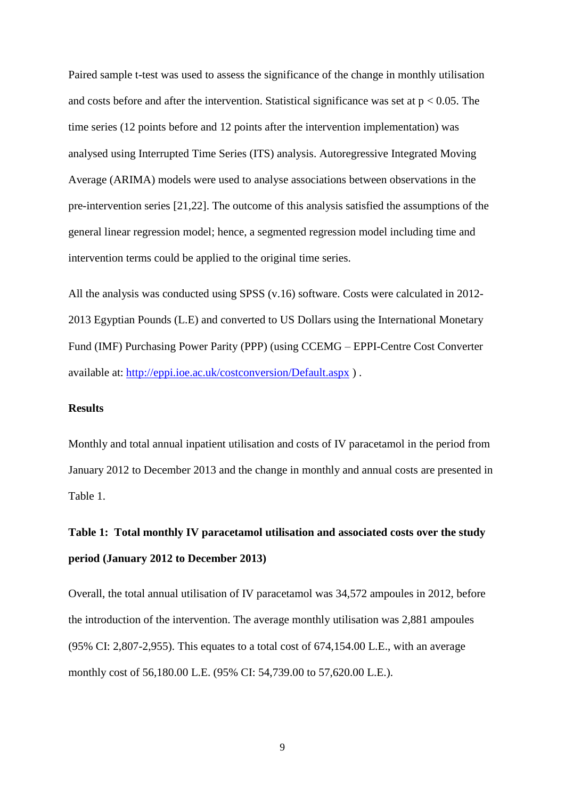Paired sample t-test was used to assess the significance of the change in monthly utilisation and costs before and after the intervention. Statistical significance was set at  $p < 0.05$ . The time series (12 points before and 12 points after the intervention implementation) was analysed using Interrupted Time Series (ITS) analysis. Autoregressive Integrated Moving Average (ARIMA) models were used to analyse associations between observations in the pre-intervention series [21,22]. The outcome of this analysis satisfied the assumptions of the general linear regression model; hence, a segmented regression model including time and intervention terms could be applied to the original time series.

All the analysis was conducted using SPSS (v.16) software. Costs were calculated in 2012- 2013 Egyptian Pounds (L.E) and converted to US Dollars using the International Monetary Fund (IMF) Purchasing Power Parity (PPP) (using CCEMG – EPPI-Centre Cost Converter available at: <http://eppi.ioe.ac.uk/costconversion/Default.aspx> ) .

#### **Results**

Monthly and total annual inpatient utilisation and costs of IV paracetamol in the period from January 2012 to December 2013 and the change in monthly and annual costs are presented in Table 1.

# **Table 1: Total monthly IV paracetamol utilisation and associated costs over the study period (January 2012 to December 2013)**

Overall, the total annual utilisation of IV paracetamol was 34,572 ampoules in 2012, before the introduction of the intervention. The average monthly utilisation was 2,881 ampoules (95% CI: 2,807-2,955). This equates to a total cost of 674,154.00 L.E., with an average monthly cost of 56,180.00 L.E. (95% CI: 54,739.00 to 57,620.00 L.E.).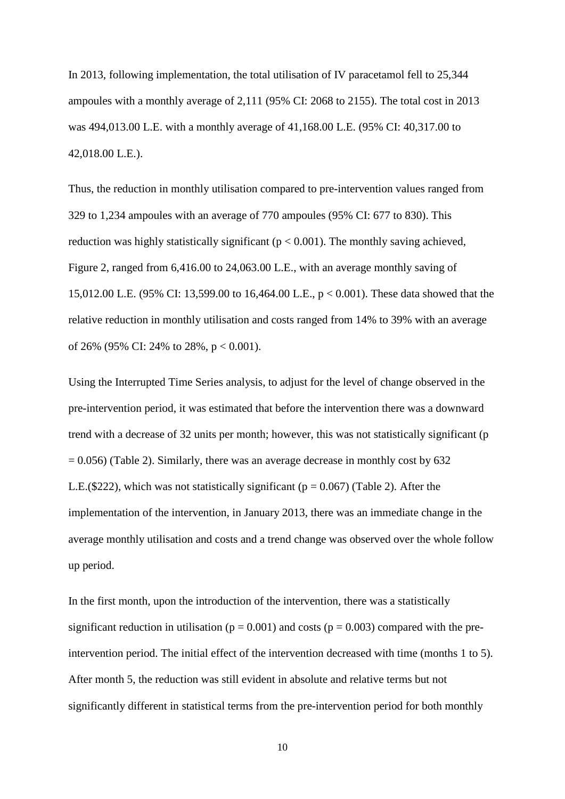In 2013, following implementation, the total utilisation of IV paracetamol fell to 25,344 ampoules with a monthly average of 2,111 (95% CI: 2068 to 2155). The total cost in 2013 was 494,013.00 L.E. with a monthly average of 41,168.00 L.E. (95% CI: 40,317.00 to 42,018.00 L.E.).

Thus, the reduction in monthly utilisation compared to pre-intervention values ranged from 329 to 1,234 ampoules with an average of 770 ampoules (95% CI: 677 to 830). This reduction was highly statistically significant ( $p < 0.001$ ). The monthly saving achieved, Figure 2, ranged from 6,416.00 to 24,063.00 L.E., with an average monthly saving of 15,012.00 L.E. (95% CI: 13,599.00 to 16,464.00 L.E., p < 0.001). These data showed that the relative reduction in monthly utilisation and costs ranged from 14% to 39% with an average of 26% (95% CI: 24% to 28%,  $p < 0.001$ ).

Using the Interrupted Time Series analysis, to adjust for the level of change observed in the pre-intervention period, it was estimated that before the intervention there was a downward trend with a decrease of 32 units per month; however, this was not statistically significant (p  $= 0.056$ ) (Table 2). Similarly, there was an average decrease in monthly cost by 632 L.E.(\$222), which was not statistically significant ( $p = 0.067$ ) (Table 2). After the implementation of the intervention, in January 2013, there was an immediate change in the average monthly utilisation and costs and a trend change was observed over the whole follow up period.

In the first month, upon the introduction of the intervention, there was a statistically significant reduction in utilisation ( $p = 0.001$ ) and costs ( $p = 0.003$ ) compared with the preintervention period. The initial effect of the intervention decreased with time (months 1 to 5). After month 5, the reduction was still evident in absolute and relative terms but not significantly different in statistical terms from the pre-intervention period for both monthly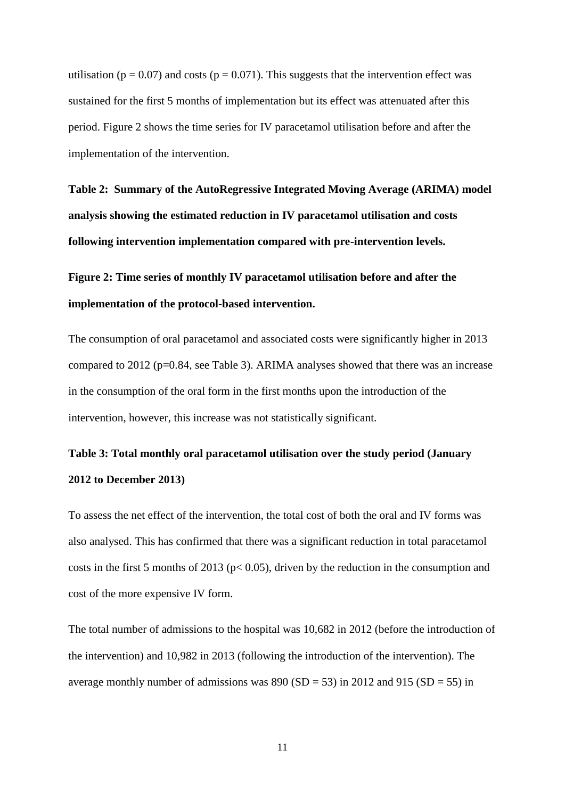utilisation ( $p = 0.07$ ) and costs ( $p = 0.071$ ). This suggests that the intervention effect was sustained for the first 5 months of implementation but its effect was attenuated after this period. Figure 2 shows the time series for IV paracetamol utilisation before and after the implementation of the intervention.

**Table 2: Summary of the AutoRegressive Integrated Moving Average (ARIMA) model analysis showing the estimated reduction in IV paracetamol utilisation and costs following intervention implementation compared with pre-intervention levels.**

**Figure 2: Time series of monthly IV paracetamol utilisation before and after the implementation of the protocol-based intervention.**

The consumption of oral paracetamol and associated costs were significantly higher in 2013 compared to 2012 (p=0.84, see Table 3). ARIMA analyses showed that there was an increase in the consumption of the oral form in the first months upon the introduction of the intervention, however, this increase was not statistically significant.

# **Table 3: Total monthly oral paracetamol utilisation over the study period (January 2012 to December 2013)**

To assess the net effect of the intervention, the total cost of both the oral and IV forms was also analysed. This has confirmed that there was a significant reduction in total paracetamol costs in the first 5 months of 2013 ( $p < 0.05$ ), driven by the reduction in the consumption and cost of the more expensive IV form.

The total number of admissions to the hospital was 10,682 in 2012 (before the introduction of the intervention) and 10,982 in 2013 (following the introduction of the intervention). The average monthly number of admissions was  $890 (SD = 53)$  in 2012 and 915 (SD = 55) in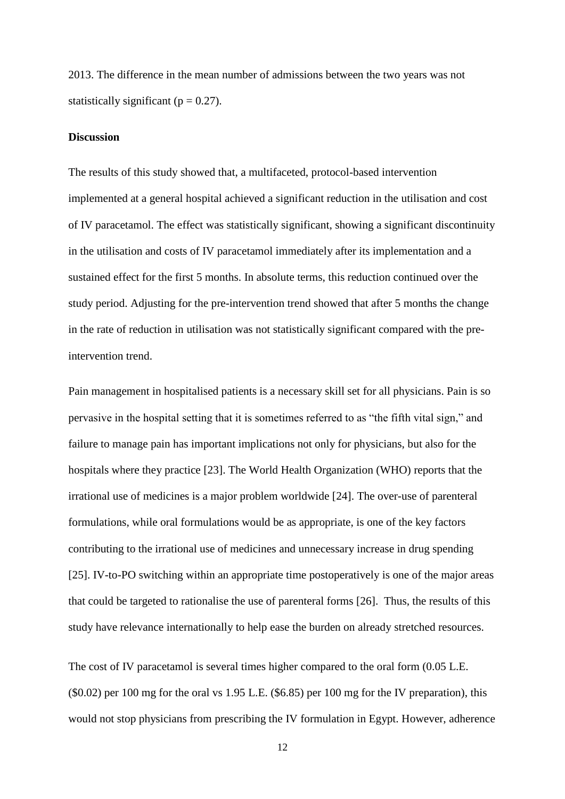2013. The difference in the mean number of admissions between the two years was not statistically significant ( $p = 0.27$ ).

#### **Discussion**

The results of this study showed that, a multifaceted, protocol-based intervention implemented at a general hospital achieved a significant reduction in the utilisation and cost of IV paracetamol. The effect was statistically significant, showing a significant discontinuity in the utilisation and costs of IV paracetamol immediately after its implementation and a sustained effect for the first 5 months. In absolute terms, this reduction continued over the study period. Adjusting for the pre-intervention trend showed that after 5 months the change in the rate of reduction in utilisation was not statistically significant compared with the preintervention trend.

Pain management in hospitalised patients is a necessary skill set for all physicians. Pain is so pervasive in the hospital setting that it is sometimes referred to as "the fifth vital sign," and failure to manage pain has important implications not only for physicians, but also for the hospitals where they practice [23]. The World Health Organization (WHO) reports that the irrational use of medicines is a major problem worldwide [24]. The over-use of parenteral formulations, while oral formulations would be as appropriate, is one of the key factors contributing to the irrational use of medicines and unnecessary increase in drug spending [25]. IV-to-PO switching within an appropriate time postoperatively is one of the major areas that could be targeted to rationalise the use of parenteral forms [26]. Thus, the results of this study have relevance internationally to help ease the burden on already stretched resources.

The cost of IV paracetamol is several times higher compared to the oral form (0.05 L.E.  $($ \$0.02) per 100 mg for the oral vs 1.95 L.E.  $($ \$6.85) per 100 mg for the IV preparation), this would not stop physicians from prescribing the IV formulation in Egypt. However, adherence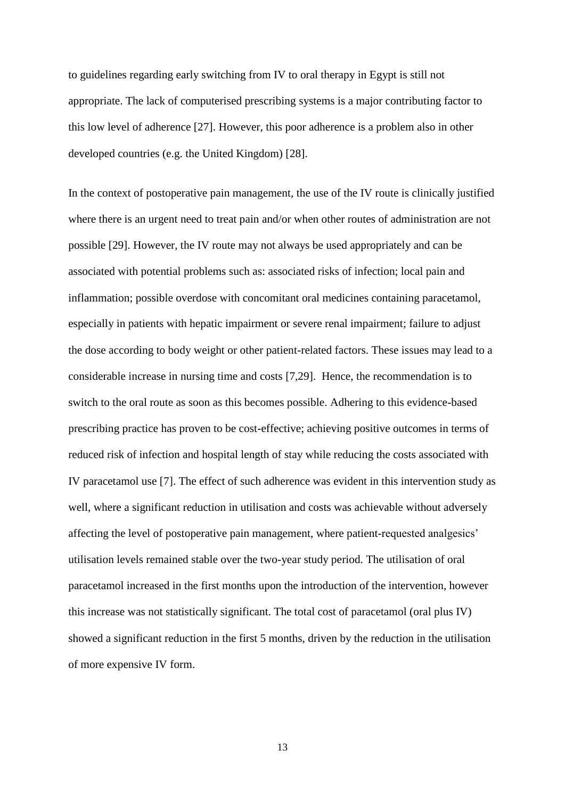to guidelines regarding early switching from IV to oral therapy in Egypt is still not appropriate. The lack of computerised prescribing systems is a major contributing factor to this low level of adherence [27]. However, this poor adherence is a problem also in other developed countries (e.g. the United Kingdom) [28].

In the context of postoperative pain management, the use of the IV route is clinically justified where there is an urgent need to treat pain and/or when other routes of administration are not possible [29]. However, the IV route may not always be used appropriately and can be associated with potential problems such as: associated risks of infection; local pain and inflammation; possible overdose with concomitant oral medicines containing paracetamol, especially in patients with hepatic impairment or severe renal impairment; failure to adjust the dose according to body weight or other patient-related factors. These issues may lead to a considerable increase in nursing time and costs [7,29]. Hence, the recommendation is to switch to the oral route as soon as this becomes possible. Adhering to this evidence-based prescribing practice has proven to be cost-effective; achieving positive outcomes in terms of reduced risk of infection and hospital length of stay while reducing the costs associated with IV paracetamol use [7]. The effect of such adherence was evident in this intervention study as well, where a significant reduction in utilisation and costs was achievable without adversely affecting the level of postoperative pain management, where patient-requested analgesics' utilisation levels remained stable over the two-year study period. The utilisation of oral paracetamol increased in the first months upon the introduction of the intervention, however this increase was not statistically significant. The total cost of paracetamol (oral plus IV) showed a significant reduction in the first 5 months, driven by the reduction in the utilisation of more expensive IV form.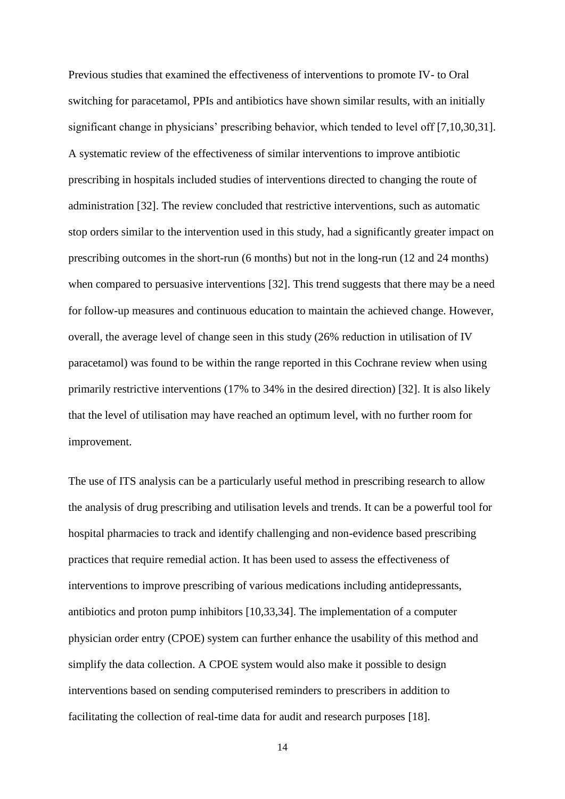Previous studies that examined the effectiveness of interventions to promote IV- to Oral switching for paracetamol, PPIs and antibiotics have shown similar results, with an initially significant change in physicians' prescribing behavior, which tended to level off [7,10,30,31]. A systematic review of the effectiveness of similar interventions to improve antibiotic prescribing in hospitals included studies of interventions directed to changing the route of administration [32]. The review concluded that restrictive interventions, such as automatic stop orders similar to the intervention used in this study, had a significantly greater impact on prescribing outcomes in the short-run (6 months) but not in the long-run (12 and 24 months) when compared to persuasive interventions [32]. This trend suggests that there may be a need for follow-up measures and continuous education to maintain the achieved change. However, overall, the average level of change seen in this study (26% reduction in utilisation of IV paracetamol) was found to be within the range reported in this Cochrane review when using primarily restrictive interventions (17% to 34% in the desired direction) [32]. It is also likely that the level of utilisation may have reached an optimum level, with no further room for improvement.

The use of ITS analysis can be a particularly useful method in prescribing research to allow the analysis of drug prescribing and utilisation levels and trends. It can be a powerful tool for hospital pharmacies to track and identify challenging and non-evidence based prescribing practices that require remedial action. It has been used to assess the effectiveness of interventions to improve prescribing of various medications including antidepressants, antibiotics and proton pump inhibitors [10,33,34]. The implementation of a computer physician order entry (CPOE) system can further enhance the usability of this method and simplify the data collection. A CPOE system would also make it possible to design interventions based on sending computerised reminders to prescribers in addition to facilitating the collection of real-time data for audit and research purposes [18].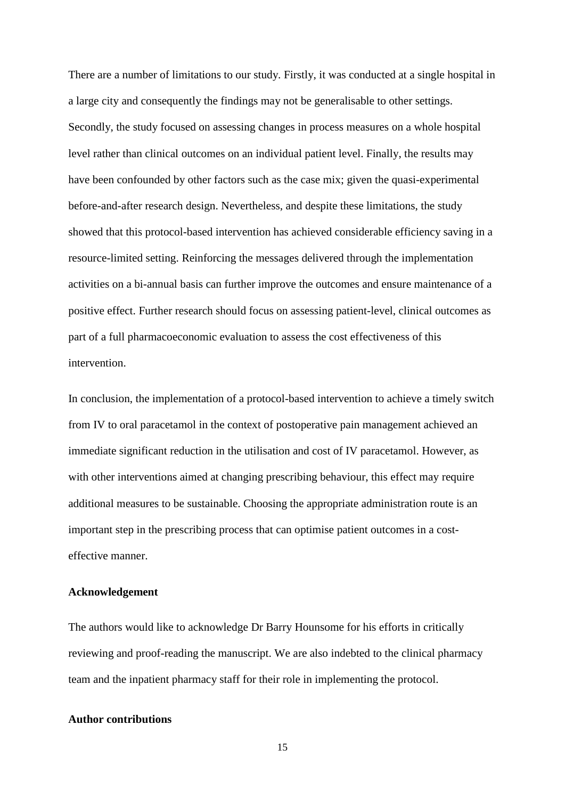There are a number of limitations to our study. Firstly, it was conducted at a single hospital in a large city and consequently the findings may not be generalisable to other settings. Secondly, the study focused on assessing changes in process measures on a whole hospital level rather than clinical outcomes on an individual patient level. Finally, the results may have been confounded by other factors such as the case mix; given the quasi-experimental before-and-after research design. Nevertheless, and despite these limitations, the study showed that this protocol-based intervention has achieved considerable efficiency saving in a resource-limited setting. Reinforcing the messages delivered through the implementation activities on a bi-annual basis can further improve the outcomes and ensure maintenance of a positive effect. Further research should focus on assessing patient-level, clinical outcomes as part of a full pharmacoeconomic evaluation to assess the cost effectiveness of this intervention.

In conclusion, the implementation of a protocol-based intervention to achieve a timely switch from IV to oral paracetamol in the context of postoperative pain management achieved an immediate significant reduction in the utilisation and cost of IV paracetamol. However, as with other interventions aimed at changing prescribing behaviour, this effect may require additional measures to be sustainable. Choosing the appropriate administration route is an important step in the prescribing process that can optimise patient outcomes in a costeffective manner.

#### **Acknowledgement**

The authors would like to acknowledge Dr Barry Hounsome for his efforts in critically reviewing and proof-reading the manuscript. We are also indebted to the clinical pharmacy team and the inpatient pharmacy staff for their role in implementing the protocol.

### **Author contributions**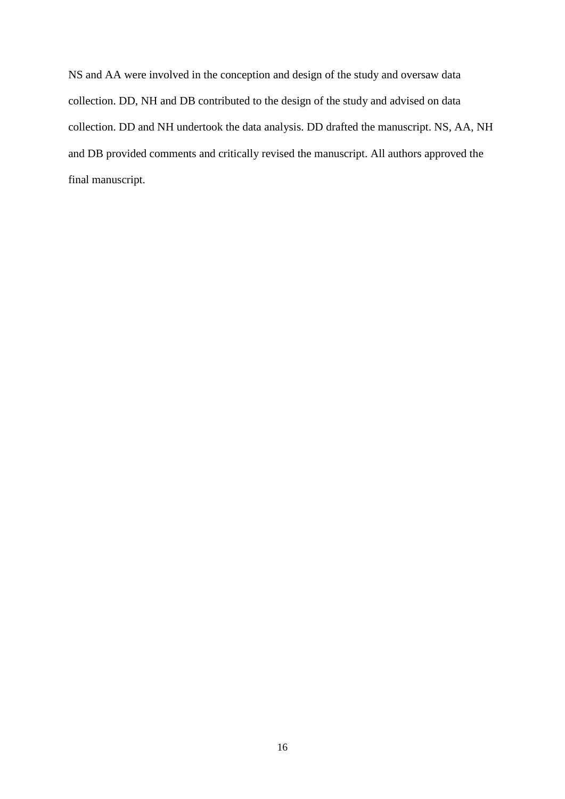NS and AA were involved in the conception and design of the study and oversaw data collection. DD, NH and DB contributed to the design of the study and advised on data collection. DD and NH undertook the data analysis. DD drafted the manuscript. NS, AA, NH and DB provided comments and critically revised the manuscript. All authors approved the final manuscript.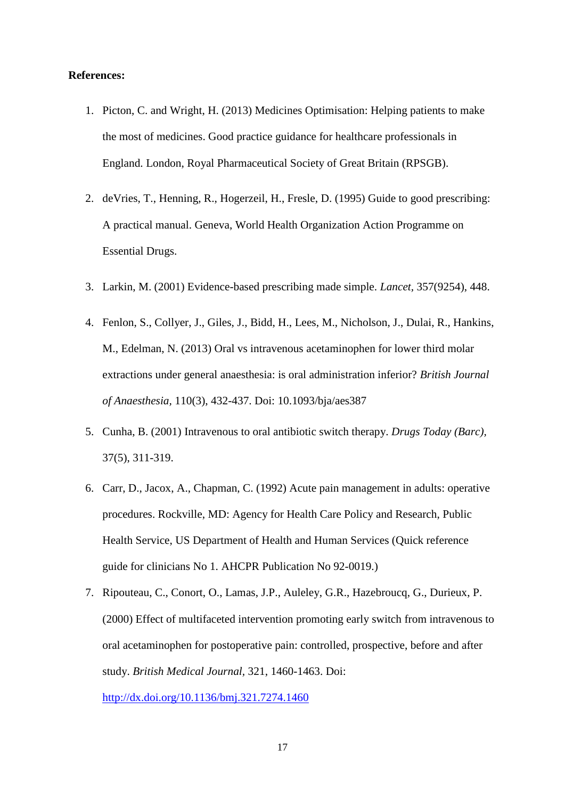#### **References:**

- 1. Picton, C. and Wright, H. (2013) Medicines Optimisation: Helping patients to make the most of medicines. Good practice guidance for healthcare professionals in England. London, Royal Pharmaceutical Society of Great Britain (RPSGB).
- 2. deVries, T., Henning, R., Hogerzeil, H., Fresle, D. (1995) Guide to good prescribing: A practical manual. Geneva, World Health Organization Action Programme on Essential Drugs.
- 3. Larkin, M. (2001) Evidence-based prescribing made simple. *Lancet,* 357(9254), 448.
- 4. Fenlon, S., Collyer, J., Giles, J., Bidd, H., Lees, M., Nicholson, J., Dulai, R., Hankins, M., Edelman, N. (2013) Oral vs intravenous acetaminophen for lower third molar extractions under general anaesthesia: is oral administration inferior? *British Journal of Anaesthesia,* 110(3), 432-437. Doi: 10.1093/bja/aes387
- 5. Cunha, B. (2001) Intravenous to oral antibiotic switch therapy. *Drugs Today (Barc),*  37(5), 311-319.
- 6. Carr, D., Jacox, A., Chapman, C. (1992) Acute pain management in adults: operative procedures. Rockville, MD: Agency for Health Care Policy and Research, Public Health Service, US Department of Health and Human Services (Quick reference guide for clinicians No 1. AHCPR Publication No 92-0019.)
- 7. Ripouteau, C., Conort, O., Lamas, J.P., Auleley, G.R., Hazebroucq, G., Durieux, P. (2000) Effect of multifaceted intervention promoting early switch from intravenous to oral acetaminophen for postoperative pain: controlled, prospective, before and after study. *British Medical Journal,* 321, 1460-1463. Doi:

<http://dx.doi.org/10.1136/bmj.321.7274.1460>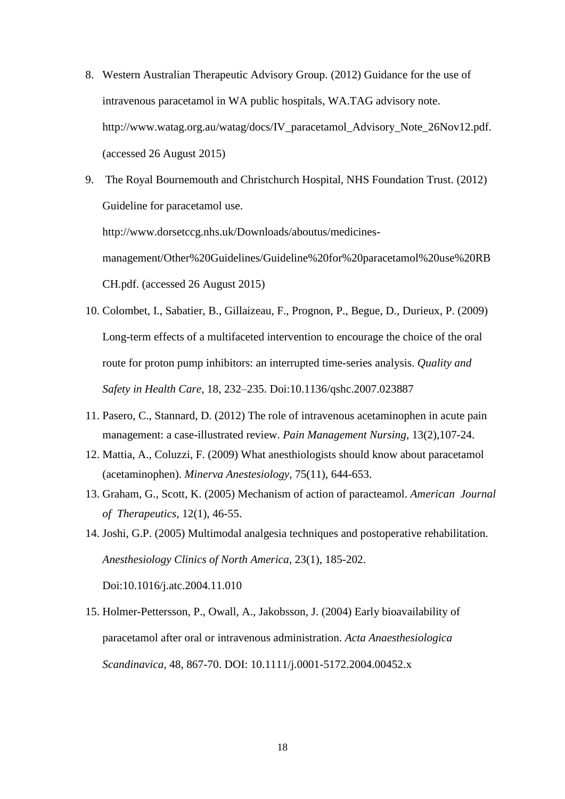- 8. Western Australian Therapeutic Advisory Group. (2012) Guidance for the use of intravenous paracetamol in WA public hospitals, WA.TAG advisory note. http://www.watag.org.au/watag/docs/IV\_paracetamol\_Advisory\_Note\_26Nov12.pdf. (accessed 26 August 2015)
- 9. The Royal Bournemouth and Christchurch Hospital, NHS Foundation Trust. (2012) Guideline for paracetamol use. http://www.dorsetccg.nhs.uk/Downloads/aboutus/medicinesmanagement/Other%20Guidelines/Guideline%20for%20paracetamol%20use%20RB CH.pdf. (accessed 26 August 2015)
- 10. Colombet, I., Sabatier, B., Gillaizeau, F., Prognon, P., Begue, D., Durieux, P. (2009) Long-term effects of a multifaceted intervention to encourage the choice of the oral route for proton pump inhibitors: an interrupted time-series analysis. *Quality and Safety in Health Care,* 18, 232–235. Doi:10.1136/qshc.2007.023887
- 11. Pasero, C., Stannard, D. (2012) The role of intravenous acetaminophen in acute pain management: a case-illustrated review. *Pain Management Nursing,* 13(2),107-24.
- 12. Mattia, A., Coluzzi, F. (2009) What anesthiologists should know about paracetamol (acetaminophen). *Minerva Anestesiology,* 75(11), 644-653.
- 13. Graham, G., Scott, K. (2005) Mechanism of action of paracteamol. *American Journal of Therapeutics,* 12(1), 46-55.
- 14. Joshi, G.P. (2005) Multimodal analgesia techniques and postoperative rehabilitation. *Anesthesiology Clinics of North America,* 23(1), 185-202. Doi:10.1016/j.atc.2004.11.010
- 15. Holmer-Pettersson, P., Owall, A., Jakobsson, J. (2004) Early bioavailability of paracetamol after oral or intravenous administration. *Acta Anaesthesiologica Scandinavica,* 48, 867-70. DOI: 10.1111/j.0001-5172.2004.00452.x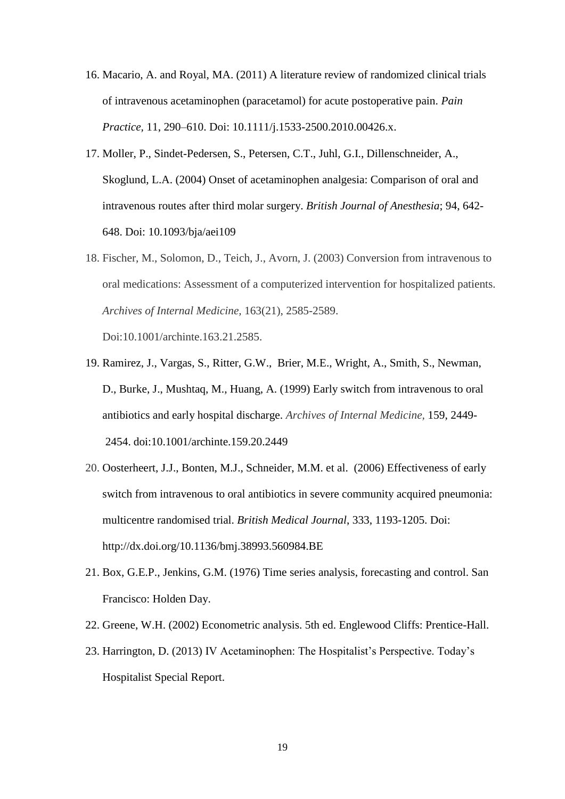- 16. Macario, A. and Royal, MA. (2011) A literature review of randomized clinical trials of intravenous acetaminophen (paracetamol) for acute postoperative pain. *Pain Practice,* 11, 290–610. Doi: 10.1111/j.1533-2500.2010.00426.x.
- 17. Moller, P., Sindet-Pedersen, S., Petersen, C.T., Juhl, G.I., Dillenschneider, A., Skoglund, L.A. (2004) Onset of acetaminophen analgesia: Comparison of oral and intravenous routes after third molar surgery. *British Journal of Anesthesia*; 94, 642- 648. Doi: 10.1093/bja/aei109
- 18. Fischer, M., Solomon, D., Teich, J., Avorn, J. (2003) Conversion from intravenous to oral medications: Assessment of a computerized intervention for hospitalized patients. *Archives of Internal Medicine,* 163(21), 2585-2589.

Doi:10.1001/archinte.163.21.2585.

- 19. Ramirez, J., Vargas, S., Ritter, G.W., Brier, M.E., Wright, A., Smith, S., Newman, D., Burke, J., Mushtaq, M., Huang, A. (1999) Early switch from intravenous to oral antibiotics and early hospital discharge. *Archives of Internal Medicine,* 159, 2449- 2454. doi:10.1001/archinte.159.20.2449
- 20. Oosterheert, J.J., Bonten, M.J., Schneider, M.M. et al. (2006) Effectiveness of early switch from intravenous to oral antibiotics in severe community acquired pneumonia: multicentre randomised trial. *British Medical Journal*, 333, 1193-1205. Doi: http://dx.doi.org/10.1136/bmj.38993.560984.BE
- 21. Box, G.E.P., Jenkins, G.M. (1976) Time series analysis, forecasting and control. San Francisco: Holden Day.
- 22. Greene, W.H. (2002) Econometric analysis. 5th ed. Englewood Cliffs: Prentice-Hall.
- 23. Harrington, D. (2013) IV Acetaminophen: The Hospitalist's Perspective. Today's Hospitalist Special Report.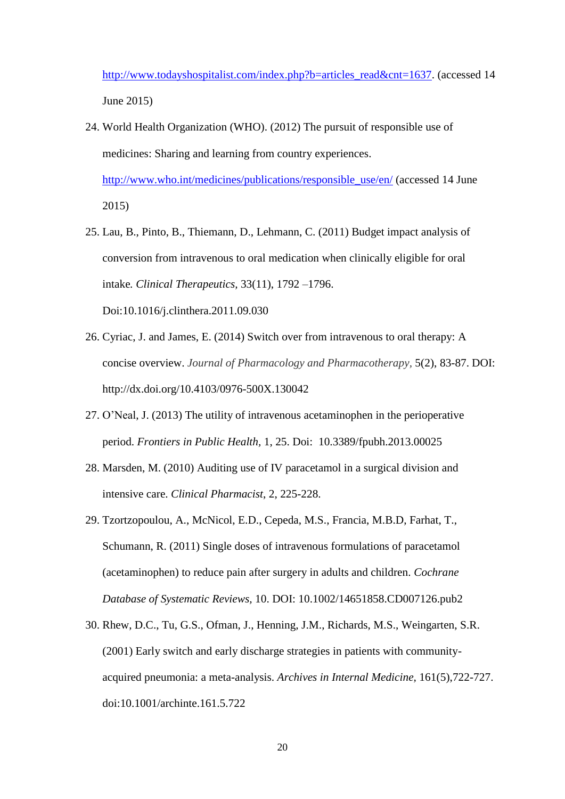[http://www.todayshospitalist.com/index.php?b=articles\\_read&cnt=1637.](http://www.todayshospitalist.com/index.php?b=articles_read&cnt=1637) (accessed 14 June 2015)

24. World Health Organization (WHO). (2012) The pursuit of responsible use of medicines: Sharing and learning from country experiences. [http://www.who.int/medicines/publications/responsible\\_use/en/](http://www.who.int/medicines/publications/responsible_use/en/) (accessed 14 June

2015)

- 25. Lau, B., Pinto, B., Thiemann, D., Lehmann, C. (2011) Budget impact analysis of conversion from intravenous to oral medication when clinically eligible for oral intake*. Clinical Therapeutics,* 33(11), 1792 –1796. Doi:10.1016/j.clinthera.2011.09.030
- 26. Cyriac, J. and James, E. (2014) Switch over from intravenous to oral therapy: A concise overview. *Journal of Pharmacology and Pharmacotherapy,* 5(2), 83-87. DOI: http://dx.doi.org/10.4103/0976-500X.130042
- 27. O'Neal, J. (2013) The utility of intravenous acetaminophen in the perioperative period. *Frontiers in Public Health,* 1, 25. Doi: 10.3389/fpubh.2013.00025
- 28. Marsden, M. (2010) Auditing use of IV paracetamol in a surgical division and intensive care. *Clinical Pharmacist*, 2, 225-228.
- 29. Tzortzopoulou, A., McNicol, E.D., Cepeda, M.S., Francia, M.B.D, Farhat, T., Schumann, R. (2011) Single doses of intravenous formulations of paracetamol (acetaminophen) to reduce pain after surgery in adults and children. *Cochrane Database of Systematic Reviews,* 10. DOI: 10.1002/14651858.CD007126.pub2
- 30. Rhew, D.C., Tu, G.S., Ofman, J., Henning, J.M., Richards, M.S., Weingarten, S.R. (2001) Early switch and early discharge strategies in patients with communityacquired pneumonia: a meta-analysis. *Archives in Internal Medicine,* 161(5),722-727. doi:10.1001/archinte.161.5.722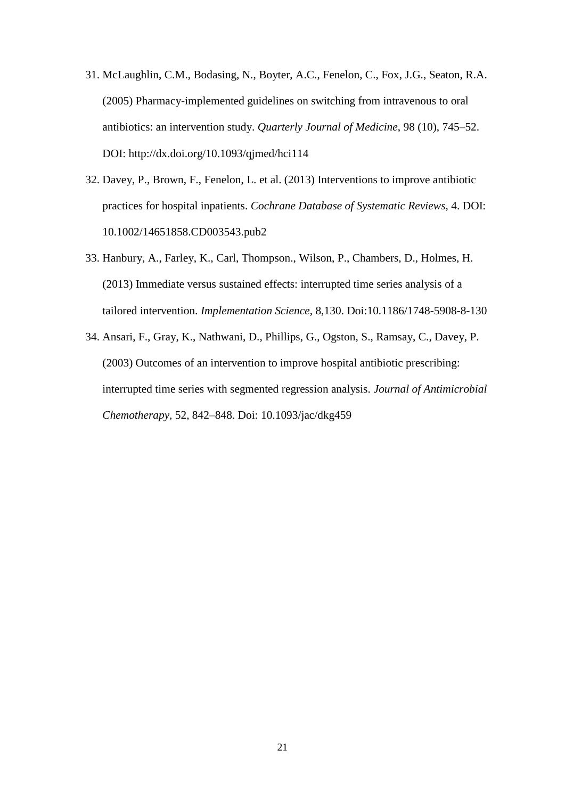- 31. McLaughlin, C.M., Bodasing, N., Boyter, A.C., Fenelon, C., Fox, J.G., Seaton, R.A. (2005) Pharmacy-implemented guidelines on switching from intravenous to oral antibiotics: an intervention study. *Quarterly Journal of Medicine*, 98 (10), 745–52. DOI: http://dx.doi.org/10.1093/qjmed/hci114
- 32. Davey, P., Brown, F., Fenelon, L. et al. (2013) Interventions to improve antibiotic practices for hospital inpatients. *Cochrane Database of Systematic Reviews,* 4. DOI: 10.1002/14651858.CD003543.pub2
- 33. Hanbury, A., Farley, K., Carl, Thompson., Wilson, P., Chambers, D., Holmes, H. (2013) Immediate versus sustained effects: interrupted time series analysis of a tailored intervention. *Implementation Science*, 8,130. Doi:10.1186/1748-5908-8-130
- 34. Ansari, F., Gray, K., Nathwani, D., Phillips, G., Ogston, S., Ramsay, C., Davey, P. (2003) Outcomes of an intervention to improve hospital antibiotic prescribing: interrupted time series with segmented regression analysis. *Journal of Antimicrobial Chemotherapy,* 52, 842–848. Doi: 10.1093/jac/dkg459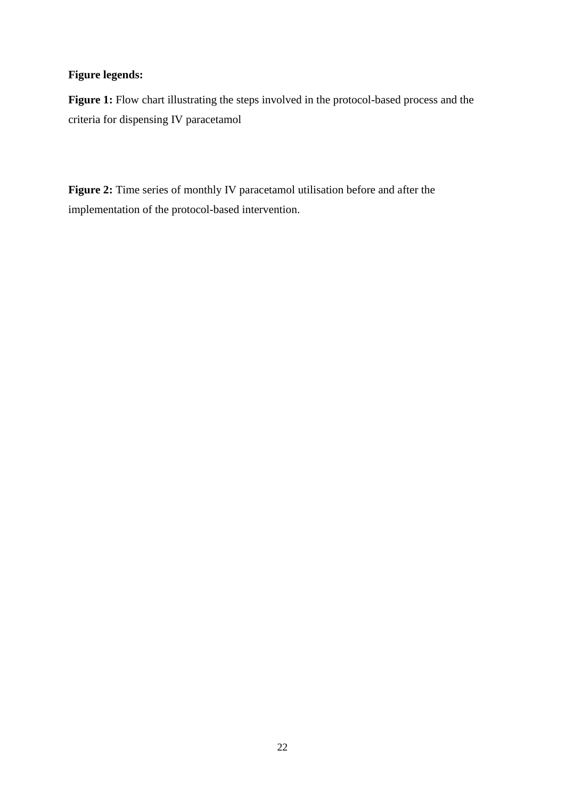# **Figure legends:**

Figure 1: Flow chart illustrating the steps involved in the protocol-based process and the criteria for dispensing IV paracetamol

Figure 2: Time series of monthly IV paracetamol utilisation before and after the implementation of the protocol-based intervention.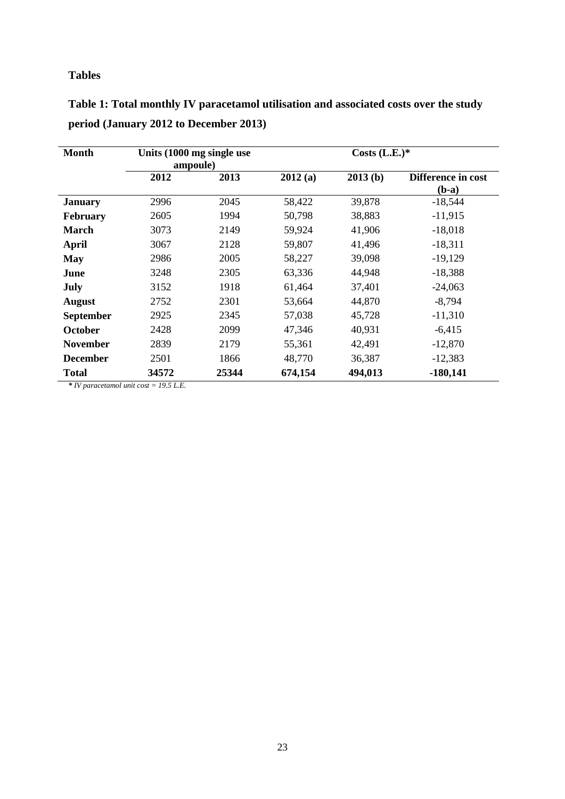# **Tables**

| <b>Month</b>     | Units (1000 mg single use<br>ampoule) |       | Costs $(L.E.)$ * |         |                               |
|------------------|---------------------------------------|-------|------------------|---------|-------------------------------|
|                  | 2012                                  | 2013  | 2012(a)          | 2013(b) | Difference in cost<br>$(b-a)$ |
| <b>January</b>   | 2996                                  | 2045  | 58,422           | 39,878  | $-18,544$                     |
| <b>February</b>  | 2605                                  | 1994  | 50,798           | 38,883  | $-11,915$                     |
| <b>March</b>     | 3073                                  | 2149  | 59,924           | 41,906  | $-18,018$                     |
| <b>April</b>     | 3067                                  | 2128  | 59,807           | 41,496  | $-18,311$                     |
| <b>May</b>       | 2986                                  | 2005  | 58,227           | 39,098  | $-19,129$                     |
| June             | 3248                                  | 2305  | 63,336           | 44,948  | $-18,388$                     |
| July             | 3152                                  | 1918  | 61,464           | 37,401  | $-24,063$                     |
| <b>August</b>    | 2752                                  | 2301  | 53,664           | 44,870  | $-8,794$                      |
| <b>September</b> | 2925                                  | 2345  | 57,038           | 45,728  | $-11,310$                     |
| <b>October</b>   | 2428                                  | 2099  | 47,346           | 40,931  | $-6,415$                      |
| <b>November</b>  | 2839                                  | 2179  | 55,361           | 42,491  | $-12,870$                     |
| <b>December</b>  | 2501                                  | 1866  | 48,770           | 36,387  | $-12,383$                     |
| <b>Total</b>     | 34572                                 | 25344 | 674,154          | 494,013 | $-180,141$                    |

**Table 1: Total monthly IV paracetamol utilisation and associated costs over the study period (January 2012 to December 2013)**

*\* IV paracetamol unit cost = 19.5 L.E.*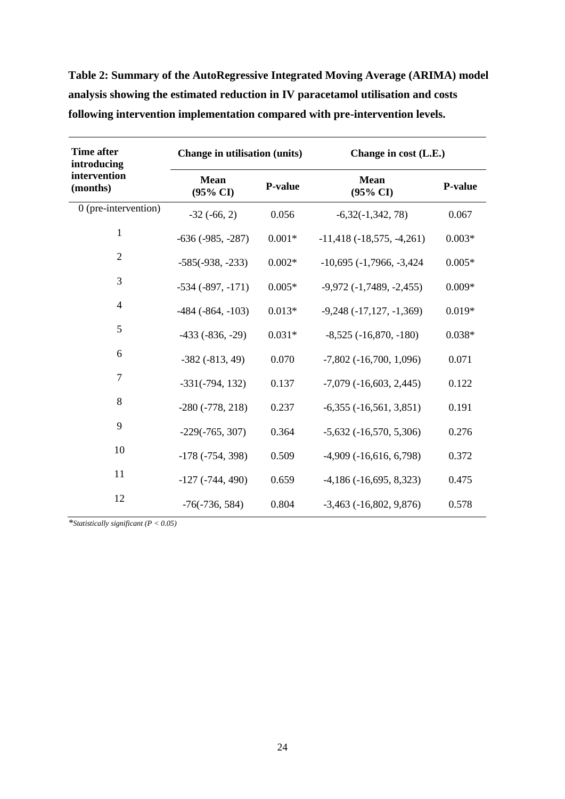| <b>Time after</b><br>introducing | Change in utilisation (units)      |          | Change in cost (L.E.)              |          |  |
|----------------------------------|------------------------------------|----------|------------------------------------|----------|--|
| intervention<br>(months)         | <b>Mean</b><br>$(95\% \text{ CI})$ | P-value  | <b>Mean</b><br>$(95\% \text{ CI})$ | P-value  |  |
| 0 (pre-intervention)             | $-32(-66, 2)$                      | 0.056    | $-6,32(-1,342,78)$                 | 0.067    |  |
| 1                                | $-636(-985, -287)$                 | $0.001*$ | $-11,418$ $(-18,575, -4,261)$      | $0.003*$ |  |
| $\overline{2}$                   | $-585(-938, -233)$                 | $0.002*$ | $-10,695$ ( $-1,7966$ , $-3,424$ ) | $0.005*$ |  |
| 3                                | $-534$ $(-897, -171)$              | $0.005*$ | $-9,972$ $(-1,7489, -2,455)$       | $0.009*$ |  |
| 4                                | $-484$ ( $-864$ , $-103$ )         | $0.013*$ | $-9,248$ $(-17,127,-1,369)$        | $0.019*$ |  |
| 5                                | $-433$ $(-836, -29)$               | $0.031*$ | $-8,525$ $(-16,870, -180)$         | $0.038*$ |  |
| 6                                | $-382(-813, 49)$                   | 0.070    | $-7,802$ ( $-16,700, 1,096$ )      | 0.071    |  |
| $\overline{7}$                   | $-331(-794, 132)$                  | 0.137    | $-7,079$ $(-16,603, 2,445)$        | 0.122    |  |
| 8                                | $-280$ $(-778, 218)$               | 0.237    | $-6,355$ $(-16,561, 3,851)$        | 0.191    |  |
| 9                                | $-229(-765, 307)$                  | 0.364    | $-5,632$ $(-16,570, 5,306)$        | 0.276    |  |
| 10                               | $-178(-754, 398)$                  | 0.509    | $-4,909$ $(-16,616, 6,798)$        | 0.372    |  |
| 11                               | $-127(-744, 490)$                  | 0.659    | $-4,186(-16,695, 8,323)$           | 0.475    |  |
| 12                               | $-76(-736, 584)$                   | 0.804    | $-3,463$ $(-16,802, 9,876)$        | 0.578    |  |

**Table 2: Summary of the AutoRegressive Integrated Moving Average (ARIMA) model analysis showing the estimated reduction in IV paracetamol utilisation and costs following intervention implementation compared with pre-intervention levels.**

*\*Statistically significant (P < 0.05)*